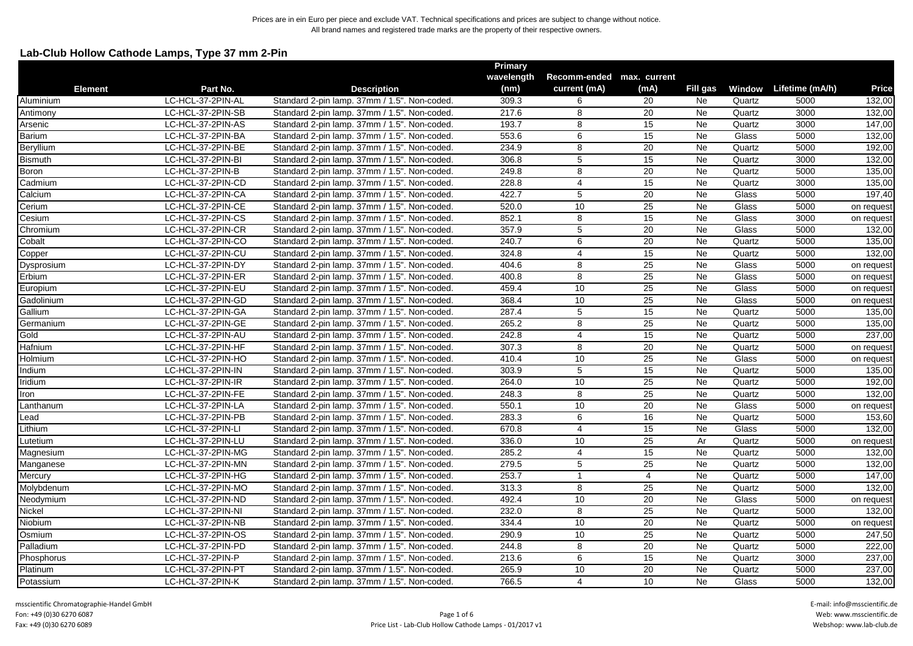# **Lab-Club Hollow Cathode Lamps, Type 37 mm 2-Pin**

|                |                   |                                              | <b>Primary</b> |                           |                 |           |        |                        |            |
|----------------|-------------------|----------------------------------------------|----------------|---------------------------|-----------------|-----------|--------|------------------------|------------|
|                |                   |                                              | wavelength     | Recomm-ended max. current |                 |           |        |                        |            |
| <b>Element</b> | Part No.          | <b>Description</b>                           | (nm)           | current (mA)              | (mA)            | Fill gas  |        | Window Lifetime (mA/h) | Price      |
| Aluminium      | LC-HCL-37-2PIN-AL | Standard 2-pin lamp. 37mm / 1.5". Non-coded. | 309.3          | 6                         | 20              | Ne        | Quartz | 5000                   | 132,00     |
| Antimony       | LC-HCL-37-2PIN-SB | Standard 2-pin lamp. 37mm / 1.5". Non-coded. | 217.6          | 8                         | 20              | Ne        | Quartz | 3000                   | 132,00     |
| Arsenic        | LC-HCL-37-2PIN-AS | Standard 2-pin lamp. 37mm / 1.5". Non-coded. | 193.7          | 8                         | 15              | <b>Ne</b> | Quartz | 3000                   | 147,00     |
| Barium         | LC-HCL-37-2PIN-BA | Standard 2-pin lamp. 37mm / 1.5". Non-coded. | 553.6          | 6                         | 15              | Ne        | Glass  | 5000                   | 132,00     |
| Beryllium      | LC-HCL-37-2PIN-BE | Standard 2-pin lamp. 37mm / 1.5". Non-coded. | 234.9          | 8                         | $\overline{20}$ | Ne        | Quartz | 5000                   | 192,00     |
| Bismuth        | LC-HCL-37-2PIN-BI | Standard 2-pin lamp. 37mm / 1.5". Non-coded. | 306.8          | 5                         | 15              | Ne        | Quartz | 3000                   | 132,00     |
| Boron          | LC-HCL-37-2PIN-B  | Standard 2-pin lamp. 37mm / 1.5". Non-coded. | 249.8          | 8                         | 20              | Ne        | Quartz | 5000                   | 135,00     |
| Cadmium        | LC-HCL-37-2PIN-CD | Standard 2-pin lamp. 37mm / 1.5". Non-coded. | 228.8          | $\overline{4}$            | 15              | Ne        | Quartz | 3000                   | 135,00     |
| Calcium        | LC-HCL-37-2PIN-CA | Standard 2-pin lamp. 37mm / 1.5". Non-coded. | 422.7          | $\overline{5}$            | 20              | Ne        | Glass  | 5000                   | 197,40     |
| Cerium         | LC-HCL-37-2PIN-CE | Standard 2-pin lamp. 37mm / 1.5". Non-coded. | 520.0          | 10                        | 25              | Ne        | Glass  | 5000                   | on request |
| Cesium         | LC-HCL-37-2PIN-CS | Standard 2-pin lamp. 37mm / 1.5". Non-coded. | 852.1          | 8                         | 15              | Ne        | Glass  | 3000                   | on request |
| Chromium       | LC-HCL-37-2PIN-CR | Standard 2-pin lamp. 37mm / 1.5". Non-coded. | 357.9          | 5                         | 20              | <b>Ne</b> | Glass  | 5000                   | 132,00     |
| Cobalt         | LC-HCL-37-2PIN-CO | Standard 2-pin lamp. 37mm / 1.5". Non-coded. | 240.7          | 6                         | 20              | Ne        | Quartz | 5000                   | 135,00     |
| Copper         | LC-HCL-37-2PIN-CU | Standard 2-pin lamp. 37mm / 1.5". Non-coded. | 324.8          | $\overline{4}$            | 15              | Ne        | Quartz | 5000                   | 132,00     |
| Dysprosium     | LC-HCL-37-2PIN-DY | Standard 2-pin lamp. 37mm / 1.5". Non-coded. | 404.6          | 8                         | 25              | Ne        | Glass  | 5000                   | on request |
| Erbium         | LC-HCL-37-2PIN-ER | Standard 2-pin lamp. 37mm / 1.5". Non-coded  | 400.8          | 8                         | $\overline{25}$ | <b>Ne</b> | Glass  | 5000                   | on request |
| Europium       | LC-HCL-37-2PIN-EU | Standard 2-pin lamp. 37mm / 1.5". Non-coded. | 459.4          | 10                        | 25              | Ne        | Glass  | 5000                   | on request |
| Gadolinium     | LC-HCL-37-2PIN-GD | Standard 2-pin lamp. 37mm / 1.5". Non-coded. | 368.4          | 10                        | 25              | Ne        | Glass  | 5000                   | on request |
| Gallium        | LC-HCL-37-2PIN-GA | Standard 2-pin lamp. 37mm / 1.5". Non-coded. | 287.4          | $\overline{5}$            | 15              | Ne        | Quartz | 5000                   | 135,00     |
| Germanium      | LC-HCL-37-2PIN-GE | Standard 2-pin lamp. 37mm / 1.5". Non-coded. | 265.2          | 8                         | $\overline{25}$ | Ne        | Quartz | 5000                   | 135,00     |
| Gold           | LC-HCL-37-2PIN-AU | Standard 2-pin lamp. 37mm / 1.5". Non-coded. | 242.8          | $\overline{4}$            | 15              | Ne        | Quartz | 5000                   | 237,00     |
| Hafnium        | LC-HCL-37-2PIN-HF | Standard 2-pin lamp. 37mm / 1.5". Non-coded. | 307.3          | 8                         | 20              | Ne        | Quartz | 5000                   | on request |
| Holmium        | LC-HCL-37-2PIN-HO | Standard 2-pin lamp. 37mm / 1.5". Non-coded. | 410.4          | 10                        | 25              | Ne        | Glass  | 5000                   | on request |
| Indium         | LC-HCL-37-2PIN-IN | Standard 2-pin lamp. 37mm / 1.5". Non-coded. | 303.9          | 5                         | 15              | Ne        | Quartz | 5000                   | 135,00     |
| Iridium        | LC-HCL-37-2PIN-IR | Standard 2-pin lamp. 37mm / 1.5". Non-coded. | 264.0          | 10                        | 25              | <b>Ne</b> | Quartz | 5000                   | 192,00     |
| Iron           | LC-HCL-37-2PIN-FE | Standard 2-pin lamp. 37mm / 1.5". Non-coded. | 248.3          | 8                         | $\overline{25}$ | Ne        | Quartz | 5000                   | 132,00     |
| Lanthanum      | LC-HCL-37-2PIN-LA | Standard 2-pin lamp. 37mm / 1.5". Non-coded. | 550.1          | 10                        | $\overline{20}$ | Ne        | Glass  | 5000                   | on request |
| Lead           | LC-HCL-37-2PIN-PB | Standard 2-pin lamp. 37mm / 1.5". Non-coded. | 283.3          | 6                         | 16              | <b>Ne</b> | Quartz | 5000                   | 153,60     |
| Lithium        | LC-HCL-37-2PIN-LI | Standard 2-pin lamp. 37mm / 1.5". Non-coded. | 670.8          | $\overline{4}$            | 15              | Ne        | Glass  | 5000                   | 132,00     |
| Lutetium       | LC-HCL-37-2PIN-LU | Standard 2-pin lamp. 37mm / 1.5". Non-coded. | 336.0          | 10                        | 25              | Ar        | Quartz | 5000                   | on request |
| Magnesium      | LC-HCL-37-2PIN-MG | Standard 2-pin lamp. 37mm / 1.5". Non-coded. | 285.2          | $\overline{4}$            | 15              | <b>Ne</b> | Quartz | 5000                   | 132,00     |
| Manganese      | LC-HCL-37-2PIN-MN | Standard 2-pin lamp. 37mm / 1.5". Non-coded. | 279.5          | 5                         | 25              | Ne        | Quartz | 5000                   | 132,00     |
| Mercury        | LC-HCL-37-2PIN-HG | Standard 2-pin lamp. 37mm / 1.5". Non-coded. | 253.7          | -1                        | 4               | Ne        | Quartz | 5000                   | 147,00     |
| Molybdenum     | LC-HCL-37-2PIN-MO | Standard 2-pin lamp. 37mm / 1.5". Non-coded. | 313.3          | 8                         | 25              | Ne        | Quartz | 5000                   | 132,00     |
| Neodymium      | LC-HCL-37-2PIN-ND | Standard 2-pin lamp. 37mm / 1.5". Non-coded. | 492.4          | 10                        | 20              | Ne        | Glass  | 5000                   | on request |
| Nickel         | LC-HCL-37-2PIN-NI | Standard 2-pin lamp. 37mm / 1.5". Non-coded. | 232.0          | 8                         | 25              | Ne        | Quartz | 5000                   | 132,00     |
| Niobium        | LC-HCL-37-2PIN-NB | Standard 2-pin lamp. 37mm / 1.5". Non-coded. | 334.4          | 10                        | 20              | Ne        | Quartz | 5000                   | on request |
| Osmium         | LC-HCL-37-2PIN-OS | Standard 2-pin lamp. 37mm / 1.5". Non-coded. | 290.9          | 10                        | 25              | Ne        | Quartz | 5000                   | 247,50     |
| Palladium      | LC-HCL-37-2PIN-PD | Standard 2-pin lamp. 37mm / 1.5". Non-coded. | 244.8          | 8                         | 20              | Ne        | Quartz | 5000                   | 222,00     |
| Phosphorus     | LC-HCL-37-2PIN-P  | Standard 2-pin lamp. 37mm / 1.5". Non-coded. | 213.6          | 6                         | 15              | Ne        | Quartz | 3000                   | 237,00     |
| Platinum       | LC-HCL-37-2PIN-PT | Standard 2-pin lamp. 37mm / 1.5". Non-coded. | 265.9          | 10                        | 20              | Ne        | Quartz | 5000                   | 237,00     |
| Potassium      | LC-HCL-37-2PIN-K  | Standard 2-pin lamp. 37mm / 1.5". Non-coded. | 766.5          | 4                         | 10              | <b>Ne</b> | Glass  | 5000                   | 132,00     |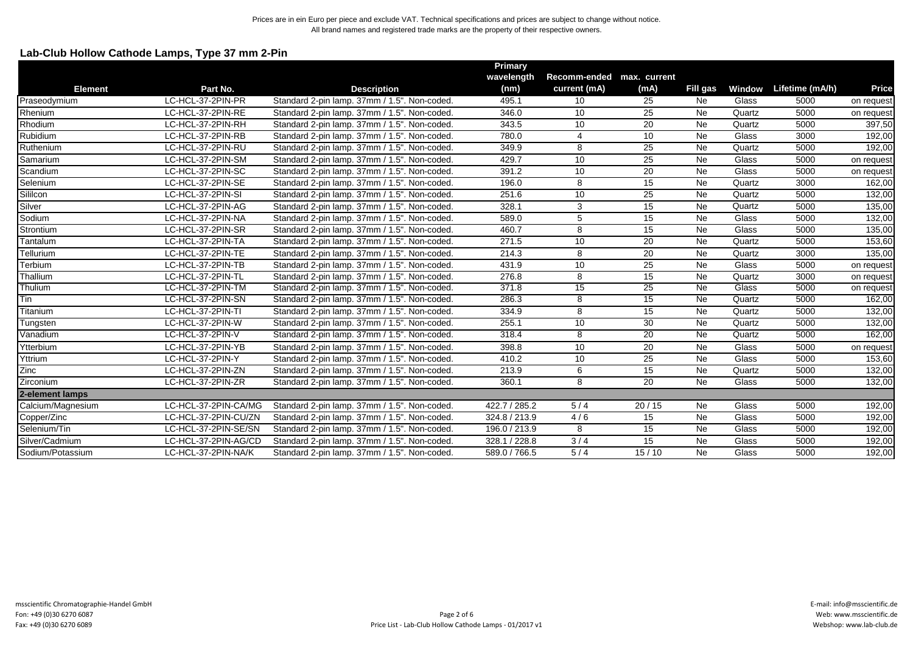# **Lab-Club Hollow Cathode Lamps, Type 37 mm 2-Pin**

|                   |                      |                                              | Primary       |                           |                 |                 |        |                 |              |
|-------------------|----------------------|----------------------------------------------|---------------|---------------------------|-----------------|-----------------|--------|-----------------|--------------|
|                   |                      |                                              | wavelength    | Recomm-ended max. current |                 |                 |        |                 |              |
| <b>Element</b>    | Part No.             | <b>Description</b>                           | (nm)          | current (mA)              | (mA)            | Fill gas        | Window | Lifetime (mA/h) | <b>Price</b> |
| Praseodymium      | LC-HCL-37-2PIN-PR    | Standard 2-pin lamp. 37mm / 1.5". Non-coded. | 495.1         | 10                        | 25              | Ne              | Glass  | 5000            | on request   |
| Rhenium           | LC-HCL-37-2PIN-RE    | Standard 2-pin lamp. 37mm / 1.5". Non-coded. | 346.0         | 10                        | 25              | <b>Ne</b>       | Quartz | 5000            | on request   |
| Rhodium           | LC-HCL-37-2PIN-RH    | Standard 2-pin lamp. 37mm / 1.5". Non-coded. | 343.5         | 10                        | 20              | <b>Ne</b>       | Quartz | 5000            | 397,50       |
| Rubidium          | LC-HCL-37-2PIN-RB    | Standard 2-pin lamp, 37mm / 1.5", Non-coded. | 780.0         | 4                         | 10              | Ne              | Glass  | 3000            | 192,00       |
| Ruthenium         | LC-HCL-37-2PIN-RU    | Standard 2-pin lamp. 37mm / 1.5". Non-coded. | 349.9         | 8                         | 25              | Ne              | Quartz | 5000            | 192,00       |
| Samarium          | LC-HCL-37-2PIN-SM    | Standard 2-pin lamp. 37mm / 1.5". Non-coded. | 429.7         | 10                        | 25              | Ne              | Glass  | 5000            | on request   |
| Scandium          | LC-HCL-37-2PIN-SC    | Standard 2-pin lamp. 37mm / 1.5". Non-coded. | 391.2         | 10                        | 20              | Ne              | Glass  | 5000            | on request   |
| Selenium          | LC-HCL-37-2PIN-SE    | Standard 2-pin lamp. 37mm / 1.5". Non-coded. | 196.0         | 8                         | 15              | <b>Ne</b>       | Quartz | 3000            | 162,00       |
| Sililcon          | LC-HCL-37-2PIN-SI    | Standard 2-pin lamp. 37mm / 1.5". Non-coded. | 251.6         | 10                        | 25              | <b>Ne</b>       | Quartz | 5000            | 132,00       |
| Silver            | LC-HCL-37-2PIN-AG    | Standard 2-pin lamp. 37mm / 1.5". Non-coded. | 328.1         | 3                         | 15              | <b>Ne</b>       | Quartz | 5000            | 135,00       |
| Sodium            | LC-HCL-37-2PIN-NA    | Standard 2-pin lamp. 37mm / 1.5". Non-coded. | 589.0         | 5                         | 15              | Ne              | Glass  | 5000            | 132,00       |
| Strontium         | LC-HCL-37-2PIN-SR    | Standard 2-pin lamp. 37mm / 1.5". Non-coded. | 460.7         | 8                         | 15              | <b>Ne</b>       | Glass  | 5000            | 135,00       |
| Tantalum          | LC-HCL-37-2PIN-TA    | Standard 2-pin lamp. 37mm / 1.5". Non-coded. | 271.5         | 10                        | 20              | Ne              | Quartz | 5000            | 153,60       |
| Tellurium         | LC-HCL-37-2PIN-TE    | Standard 2-pin lamp. 37mm / 1.5". Non-coded. | 214.3         | 8                         | 20              | Ne              | Quartz | 3000            | 135,00       |
| Terbium           | LC-HCL-37-2PIN-TB    | Standard 2-pin lamp. 37mm / 1.5". Non-coded. | 431.9         | 10                        | 25              | Ne              | Glass  | 5000            | on request   |
| Thallium          | LC-HCL-37-2PIN-TL    | Standard 2-pin lamp. 37mm / 1.5". Non-coded. | 276.8         | 8                         | 15              | <b>Ne</b>       | Quartz | 3000            | on request   |
| Thulium           | LC-HCL-37-2PIN-TM    | Standard 2-pin lamp. 37mm / 1.5". Non-coded. | 371.8         | $\overline{15}$           | $\overline{25}$ | Ne              | Glass  | 5000            | on request   |
| Tin               | LC-HCL-37-2PIN-SN    | Standard 2-pin lamp. 37mm / 1.5". Non-coded. | 286.3         | 8                         | 15              | Ne              | Quartz | 5000            | 162,00       |
| Titanium          | LC-HCL-37-2PIN-TI    | Standard 2-pin lamp. 37mm / 1.5". Non-coded. | 334.9         | 8                         | $\overline{15}$ | Ne              | Quartz | 5000            | 132,00       |
| Tungsten          | LC-HCL-37-2PIN-W     | Standard 2-pin lamp. 37mm / 1.5". Non-coded. | 255.1         | 10                        | 30              | Ne              | Quartz | 5000            | 132,00       |
| Vanadium          | LC-HCL-37-2PIN-V     | Standard 2-pin lamp. 37mm / 1.5". Non-coded. | 318.4         | $\overline{8}$            | 20              | <b>Ne</b>       | Quartz | 5000            | 162,00       |
| Ytterbium         | LC-HCL-37-2PIN-YB    | Standard 2-pin lamp. 37mm / 1.5". Non-coded. | 398.8         | 10                        | 20              | <b>Ne</b>       | Glass  | 5000            | on request   |
| Yttrium           | LC-HCL-37-2PIN-Y     | Standard 2-pin lamp. 37mm / 1.5". Non-coded. | 410.2         | 10                        | 25              | Ne              | Glass  | 5000            | 153,60       |
| Zinc              | LC-HCL-37-2PIN-ZN    | Standard 2-pin lamp. 37mm / 1.5". Non-coded. | 213.9         | 6                         | 15              | Ne              | Quartz | 5000            | 132,00       |
| Zirconium         | LC-HCL-37-2PIN-ZR    | Standard 2-pin lamp. 37mm / 1.5". Non-coded. | 360.1         | 8                         | 20              | <b>Ne</b>       | Glass  | 5000            | 132,00       |
| 2-element lamps   |                      |                                              |               |                           |                 |                 |        |                 |              |
| Calcium/Magnesium | LC-HCL-37-2PIN-CA/MG | Standard 2-pin lamp. 37mm / 1.5". Non-coded. | 422.7 / 285.2 | 5/4                       | 20/15           | Ne              | Glass  | 5000            | 192,00       |
| Copper/Zinc       | LC-HCL-37-2PIN-CU/ZN | Standard 2-pin lamp. 37mm / 1.5". Non-coded. | 324.8 / 213.9 | 4/6                       | 15              | <b>Ne</b>       | Glass  | 5000            | 192,00       |
| Selenium/Tin      | LC-HCL-37-2PIN-SE/SN | Standard 2-pin lamp. 37mm / 1.5". Non-coded. | 196.0 / 213.9 | 8                         | 15              | Ne              | Glass  | 5000            | 192,00       |
| Silver/Cadmium    | LC-HCL-37-2PIN-AG/CD | Standard 2-pin lamp. 37mm / 1.5". Non-coded. | 328.1 / 228.8 | 3/4                       | 15              | <b>Ne</b>       | Glass  | 5000            | 192,00       |
| Sodium/Potassium  | LC-HCL-37-2PIN-NA/K  | Standard 2-pin lamp. 37mm / 1.5". Non-coded. | 589.0 / 766.5 | 5/4                       | 15/10           | $\overline{Ne}$ | Glass  | 5000            | 192,00       |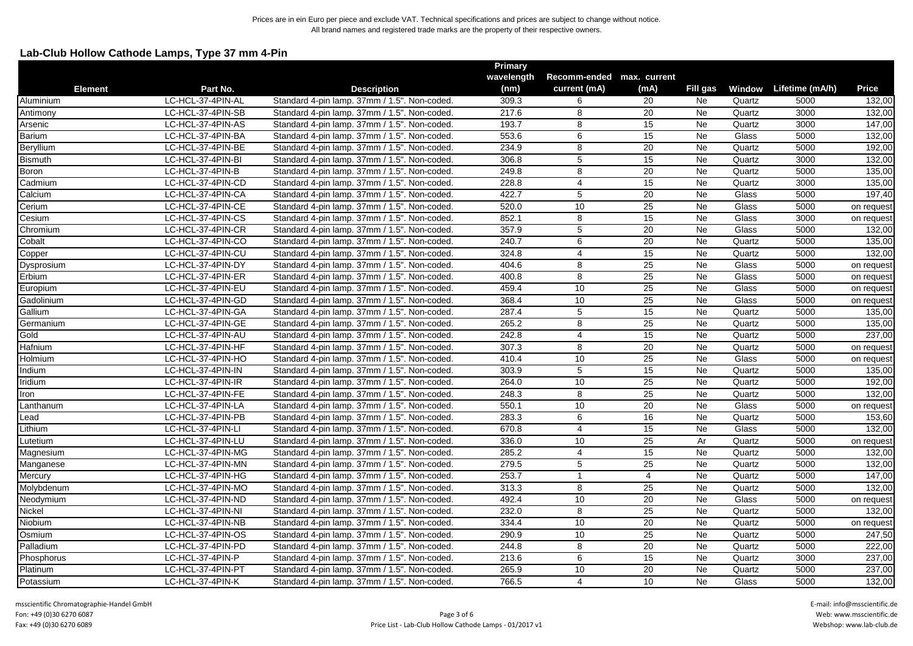# **Lab-Club Hollow Cathode Lamps, Type 37 mm 4-Pin**

|                |                   |                                              | <b>Primary</b> |                           |                 |           |        |                        |            |
|----------------|-------------------|----------------------------------------------|----------------|---------------------------|-----------------|-----------|--------|------------------------|------------|
| <b>Element</b> |                   |                                              | wavelength     | Recomm-ended max. current |                 |           |        |                        |            |
|                | Part No.          | <b>Description</b>                           | (nm)           | current (mA)              | (mA)            | Fill gas  |        | Window Lifetime (mA/h) | Price      |
| Aluminium      | LC-HCL-37-4PIN-AL | Standard 4-pin lamp. 37mm / 1.5". Non-coded. | 309.3          | 6                         | 20              | Ne        | Quartz | 5000                   | 132,00     |
| Antimony       | LC-HCL-37-4PIN-SB | Standard 4-pin lamp. 37mm / 1.5". Non-coded. | 217.6          | 8                         | 20              | Ne        | Quartz | 3000                   | 132,00     |
| Arsenic        | LC-HCL-37-4PIN-AS | Standard 4-pin lamp. 37mm / 1.5". Non-coded. | 193.7          | 8                         | 15              | Ne        | Quartz | 3000                   | 147,00     |
| <b>Barium</b>  | LC-HCL-37-4PIN-BA | Standard 4-pin lamp. 37mm / 1.5". Non-coded. | 553.6          | 6                         | 15              | <b>Ne</b> | Glass  | 5000                   | 132,00     |
| Beryllium      | LC-HCL-37-4PIN-BE | Standard 4-pin lamp. 37mm / 1.5". Non-coded. | 234.9          | 8                         | 20              | Ne        | Quartz | 5000                   | 192,00     |
| <b>Bismuth</b> | LC-HCL-37-4PIN-BI | Standard 4-pin lamp. 37mm / 1.5". Non-coded. | 306.8          | 5                         | 15              | <b>Ne</b> | Quartz | 3000                   | 132,00     |
| Boron          | LC-HCL-37-4PIN-B  | Standard 4-pin lamp. 37mm / 1.5". Non-coded. | 249.8          | 8                         | 20              | <b>Ne</b> | Quartz | 5000                   | 135,00     |
| Cadmium        | LC-HCL-37-4PIN-CD | Standard 4-pin lamp. 37mm / 1.5". Non-coded. | 228.8          | 4                         | 15              | Ne        | Quartz | 3000                   | 135,00     |
| Calcium        | LC-HCL-37-4PIN-CA | Standard 4-pin lamp. 37mm / 1.5". Non-coded. | 422.7          | 5                         | 20              | <b>Ne</b> | Glass  | 5000                   | 197,40     |
| Cerium         | LC-HCL-37-4PIN-CE | Standard 4-pin lamp. 37mm / 1.5". Non-coded. | 520.0          | 10                        | $\overline{25}$ | Ne        | Glass  | 5000                   | on request |
| Cesium         | LC-HCL-37-4PIN-CS | Standard 4-pin lamp. 37mm / 1.5". Non-coded. | 852.1          | 8                         | 15              | Ne        | Glass  | 3000                   | on request |
| Chromium       | LC-HCL-37-4PIN-CR | Standard 4-pin lamp. 37mm / 1.5". Non-coded. | 357.9          | $5\phantom{.0}$           | 20              | Ne        | Glass  | 5000                   | 132,00     |
| Cobalt         | LC-HCL-37-4PIN-CO | Standard 4-pin lamp. 37mm / 1.5". Non-coded. | 240.7          | 6                         | 20              | Ne        | Quartz | 5000                   | 135,00     |
| Copper         | LC-HCL-37-4PIN-CU | Standard 4-pin lamp. 37mm / 1.5". Non-coded. | 324.8          | 4                         | 15              | Ne        | Quartz | 5000                   | 132,00     |
| Dysprosium     | LC-HCL-37-4PIN-DY | Standard 4-pin lamp. 37mm / 1.5". Non-coded. | 404.6          | $\overline{8}$            | $\overline{25}$ | Ne        | Glass  | 5000                   | on request |
| Erbium         | LC-HCL-37-4PIN-ER | Standard 4-pin lamp. 37mm / 1.5". Non-coded. | 400.8          | 8                         | 25              | Ne        | Glass  | 5000                   | on request |
| Europium       | LC-HCL-37-4PIN-EU | Standard 4-pin lamp. 37mm / 1.5". Non-coded. | 459.4          | 10                        | 25              | Ne        | Glass  | 5000                   | on request |
| Gadolinium     | LC-HCL-37-4PIN-GD | Standard 4-pin lamp. 37mm / 1.5". Non-coded. | 368.4          | 10                        | 25              | Ne        | Glass  | 5000                   | on request |
| Gallium        | LC-HCL-37-4PIN-GA | Standard 4-pin lamp. 37mm / 1.5". Non-coded. | 287.4          | 5                         | 15              | Ne        | Quartz | 5000                   | 135,00     |
| Germanium      | LC-HCL-37-4PIN-GE | Standard 4-pin lamp. 37mm / 1.5". Non-coded. | 265.2          | 8                         | 25              | Ne        | Quartz | 5000                   | 135,00     |
| Gold           | LC-HCL-37-4PIN-AU | Standard 4-pin lamp. 37mm / 1.5". Non-coded. | 242.8          | $\overline{4}$            | 15              | Ne        | Quartz | 5000                   | 237,00     |
| Hafnium        | LC-HCL-37-4PIN-HF | Standard 4-pin lamp. 37mm / 1.5". Non-coded. | 307.3          | 8                         | 20              | Ne        | Quartz | 5000                   | on request |
| Holmium        | LC-HCL-37-4PIN-HO | Standard 4-pin lamp. 37mm / 1.5". Non-coded. | 410.4          | 10                        | 25              | Ne        | Glass  | 5000                   | on request |
| Indium         | LC-HCL-37-4PIN-IN | Standard 4-pin lamp. 37mm / 1.5". Non-coded. | 303.9          | 5                         | 15              | Ne        | Quartz | 5000                   | 135,00     |
| Iridium        | LC-HCL-37-4PIN-IR | Standard 4-pin lamp. 37mm / 1.5". Non-coded. | 264.0          | 10                        | 25              | <b>Ne</b> | Quartz | 5000                   | 192,00     |
| Iron           | LC-HCL-37-4PIN-FE | Standard 4-pin lamp. 37mm / 1.5". Non-coded. | 248.3          | 8                         | $\overline{25}$ | Ne        | Quartz | 5000                   | 132.00     |
| Lanthanum      | LC-HCL-37-4PIN-LA | Standard 4-pin lamp. 37mm / 1.5". Non-coded. | 550.1          | 10                        | 20              | Ne        | Glass  | 5000                   | on request |
| Lead           | LC-HCL-37-4PIN-PB | Standard 4-pin lamp. 37mm / 1.5". Non-coded. | 283.3          | 6                         | 16              | Ne        | Quartz | 5000                   | 153,60     |
| Lithium        | LC-HCL-37-4PIN-LI | Standard 4-pin lamp. 37mm / 1.5". Non-coded. | 670.8          | $\overline{4}$            | 15              | Ne        | Glass  | 5000                   | 132,00     |
| Lutetium       | LC-HCL-37-4PIN-LU | Standard 4-pin lamp. 37mm / 1.5". Non-coded. | 336.0          | 10                        | 25              | Ar        | Quartz | 5000                   | on request |
| Magnesium      | LC-HCL-37-4PIN-MG | Standard 4-pin lamp. 37mm / 1.5". Non-coded. | 285.2          | $\overline{4}$            | $\overline{15}$ | Ne        | Quartz | 5000                   | 132,00     |
| Manganese      | LC-HCL-37-4PIN-MN | Standard 4-pin lamp. 37mm / 1.5". Non-coded. | 279.5          | 5                         | 25              | Ne        | Quartz | 5000                   | 132,00     |
| Mercury        | LC-HCL-37-4PIN-HG | Standard 4-pin lamp. 37mm / 1.5". Non-coded. | 253.7          | $\mathbf{1}$              | 4               | Ne        | Quartz | 5000                   | 147,00     |
| Molybdenum     | LC-HCL-37-4PIN-MO | Standard 4-pin lamp. 37mm / 1.5". Non-coded. | 313.3          | 8                         | 25              | <b>Ne</b> | Quartz | 5000                   | 132,00     |
| Neodymium      | LC-HCL-37-4PIN-ND | Standard 4-pin lamp. 37mm / 1.5". Non-coded. | 492.4          | 10                        | 20              | Ne        | Glass  | 5000                   | on request |
| Nickel         | LC-HCL-37-4PIN-NI | Standard 4-pin lamp. 37mm / 1.5". Non-coded. | 232.0          | 8                         | 25              | Ne        | Quartz | 5000                   | 132,00     |
| Niobium        | LC-HCL-37-4PIN-NB | Standard 4-pin lamp. 37mm / 1.5". Non-coded. | 334.4          | 10                        | 20              | Ne        | Quartz | 5000                   | on request |
| Osmium         | LC-HCL-37-4PIN-OS | Standard 4-pin lamp. 37mm / 1.5". Non-coded. | 290.9          | 10                        | 25              | Ne        | Quartz | 5000                   | 247,50     |
| Palladium      | LC-HCL-37-4PIN-PD | Standard 4-pin lamp. 37mm / 1.5". Non-coded. | 244.8          | 8                         | 20              | Ne        | Quartz | 5000                   | 222,00     |
| Phosphorus     | LC-HCL-37-4PIN-P  | Standard 4-pin lamp. 37mm / 1.5". Non-coded. | 213.6          | 6                         | 15              | Ne        | Quartz | 3000                   | 237,00     |
| Platinum       | LC-HCL-37-4PIN-PT | Standard 4-pin lamp. 37mm / 1.5". Non-coded. | 265.9          | 10                        | 20              | <b>Ne</b> | Quartz | 5000                   | 237,00     |
| Potassium      | LC-HCL-37-4PIN-K  | Standard 4-pin lamp. 37mm / 1.5". Non-coded. | 766.5          | $\overline{4}$            | 10              | <b>Ne</b> | Glass  | 5000                   | 132,00     |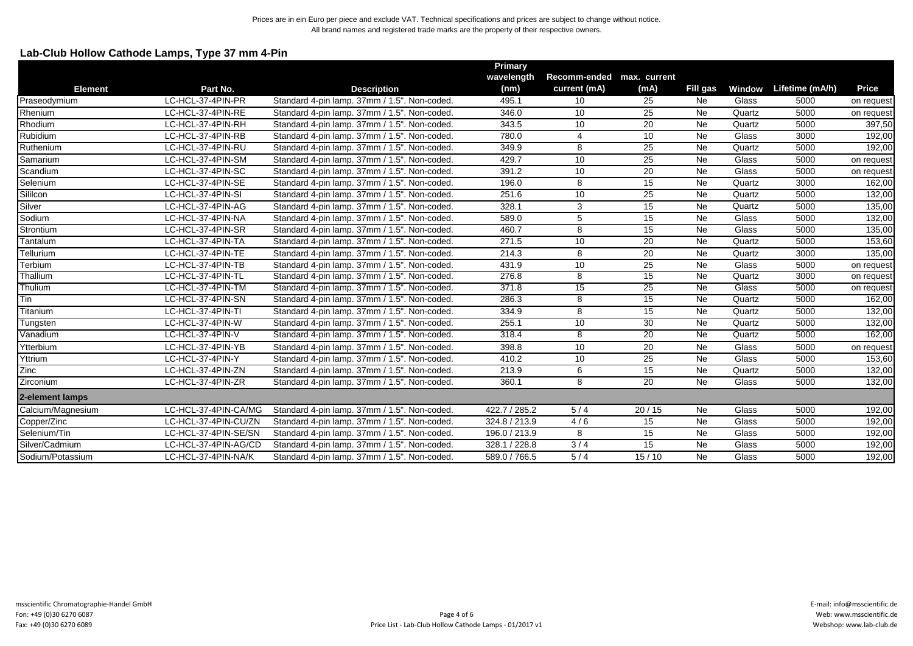# **Lab-Club Hollow Cathode Lamps, Type 37 mm 4-Pin**

|                   |                      |                                              | <b>Primary</b> |                           |                 |                 |        |                 |              |
|-------------------|----------------------|----------------------------------------------|----------------|---------------------------|-----------------|-----------------|--------|-----------------|--------------|
|                   |                      |                                              | wavelength     | Recomm-ended max. current |                 |                 |        |                 |              |
| <b>Element</b>    | Part No.             | <b>Description</b>                           | (nm)           | current (mA)              | (mA)            | Fill gas        | Window | Lifetime (mA/h) | <b>Price</b> |
| Praseodymium      | LC-HCL-37-4PIN-PR    | Standard 4-pin lamp. 37mm / 1.5". Non-coded. | 495.1          | 10                        | 25              | Ne              | Glass  | 5000            | on request   |
| Rhenium           | LC-HCL-37-4PIN-RE    | Standard 4-pin lamp. 37mm / 1.5". Non-coded. | 346.0          | 10                        | 25              | Ne              | Quartz | 5000            | on request   |
| Rhodium           | LC-HCL-37-4PIN-RH    | Standard 4-pin lamp. 37mm / 1.5". Non-coded. | 343.5          | 10                        | $\overline{20}$ | Ne              | Quartz | 5000            | 397,50       |
| Rubidium          | LC-HCL-37-4PIN-RB    | Standard 4-pin lamp. 37mm / 1.5". Non-coded. | 780.0          | $\overline{4}$            | 10              | Ne              | Glass  | 3000            | 192,00       |
| Ruthenium         | LC-HCL-37-4PIN-RU    | Standard 4-pin lamp. 37mm / 1.5". Non-coded. | 349.9          | 8                         | 25              | Ne              | Quartz | 5000            | 192,00       |
| Samarium          | LC-HCL-37-4PIN-SM    | Standard 4-pin lamp. 37mm / 1.5". Non-coded. | 429.7          | 10                        | 25              | Ne              | Glass  | 5000            | on request   |
| Scandium          | LC-HCL-37-4PIN-SC    | Standard 4-pin lamp. 37mm / 1.5". Non-coded. | 391.2          | 10                        | 20              | Ne              | Glass  | 5000            | on request   |
| Selenium          | LC-HCL-37-4PIN-SE    | Standard 4-pin lamp. 37mm / 1.5". Non-coded. | 196.0          | 8                         | 15              | Ne              | Quartz | 3000            | 162,00       |
| Sililcon          | LC-HCL-37-4PIN-SI    | Standard 4-pin lamp. 37mm / 1.5". Non-coded. | 251.6          | 10                        | 25              | Ne              | Quartz | 5000            | 132,00       |
| Silver            | LC-HCL-37-4PIN-AG    | Standard 4-pin lamp. 37mm / 1.5". Non-coded. | 328.1          | 3                         | 15              | Ne              | Quartz | 5000            | 135,00       |
| Sodium            | LC-HCL-37-4PIN-NA    | Standard 4-pin lamp. 37mm / 1.5". Non-coded. | 589.0          | 5                         | 15              | Ne              | Glass  | 5000            | 132,00       |
| Strontium         | LC-HCL-37-4PIN-SR    | Standard 4-pin lamp. 37mm / 1.5". Non-coded. | 460.7          | 8                         | 15              | <b>Ne</b>       | Glass  | 5000            | 135,00       |
| Tantalum          | LC-HCL-37-4PIN-TA    | Standard 4-pin lamp. 37mm / 1.5". Non-coded. | 271.5          | 10                        | 20              | Ne              | Quartz | 5000            | 153,60       |
| Tellurium         | LC-HCL-37-4PIN-TE    | Standard 4-pin lamp. 37mm / 1.5". Non-coded. | 214.3          | 8                         | 20              | Ne              | Quartz | 3000            | 135,00       |
| Terbium           | LC-HCL-37-4PIN-TB    | Standard 4-pin lamp. 37mm / 1.5". Non-coded. | 431.9          | 10                        | 25              | Ne              | Glass  | 5000            | on request   |
| Thallium          | LC-HCL-37-4PIN-TL    | Standard 4-pin lamp. 37mm / 1.5". Non-coded. | 276.8          | 8                         | $\overline{15}$ | Ne              | Quartz | 3000            | on request   |
| Thulium           | LC-HCL-37-4PIN-TM    | Standard 4-pin lamp. 37mm / 1.5". Non-coded. | 371.8          | 15                        | $\overline{25}$ | Ne              | Glass  | 5000            | on request   |
| Tin               | LC-HCL-37-4PIN-SN    | Standard 4-pin lamp. 37mm / 1.5". Non-coded. | 286.3          | 8                         | 15              | $\overline{Ne}$ | Quartz | 5000            | 162,00       |
| Titanium          | LC-HCL-37-4PIN-TI    | Standard 4-pin lamp. 37mm / 1.5". Non-coded. | 334.9          | $\overline{8}$            | 15              | $\overline{Ne}$ | Quartz | 5000            | 132,00       |
| Tungsten          | LC-HCL-37-4PIN-W     | Standard 4-pin lamp. 37mm / 1.5". Non-coded. | 255.1          | 10                        | 30              | <b>Ne</b>       | Quartz | 5000            | 132,00       |
| Vanadium          | LC-HCL-37-4PIN-V     | Standard 4-pin lamp. 37mm / 1.5". Non-coded. | 318.4          | 8                         | 20              | Ne              | Quartz | 5000            | 162,00       |
| Ytterbium         | LC-HCL-37-4PIN-YB    | Standard 4-pin lamp. 37mm / 1.5". Non-coded. | 398.8          | 10                        | 20              | Ne              | Glass  | 5000            | on request   |
| Yttrium           | LC-HCL-37-4PIN-Y     | Standard 4-pin lamp. 37mm / 1.5". Non-coded. | 410.2          | 10                        | 25              | Ne              | Glass  | 5000            | 153,60       |
| Zinc              | LC-HCL-37-4PIN-ZN    | Standard 4-pin lamp. 37mm / 1.5". Non-coded. | 213.9          | 6                         | 15              | Ne              | Quartz | 5000            | 132,00       |
| Zirconium         | LC-HCL-37-4PIN-ZR    | Standard 4-pin lamp. 37mm / 1.5". Non-coded. | 360.1          | 8                         | 20              | Ne              | Glass  | 5000            | 132,00       |
| 2-element lamps   |                      |                                              |                |                           |                 |                 |        |                 |              |
| Calcium/Magnesium | LC-HCL-37-4PIN-CA/MG | Standard 4-pin lamp. 37mm / 1.5". Non-coded. | 422.7 / 285.2  | 5/4                       | 20/15           | Ne              | Glass  | 5000            | 192,00       |
| Copper/Zinc       | LC-HCL-37-4PIN-CU/ZN | Standard 4-pin lamp. 37mm / 1.5". Non-coded. | 324.8 / 213.9  | 4/6                       | 15              | Ne              | Glass  | 5000            | 192,00       |
| Selenium/Tin      | LC-HCL-37-4PIN-SE/SN | Standard 4-pin lamp. 37mm / 1.5". Non-coded. | 196.0 / 213.9  | 8                         | 15              | Ne              | Glass  | 5000            | 192,00       |
| Silver/Cadmium    | LC-HCL-37-4PIN-AG/CD | Standard 4-pin lamp. 37mm / 1.5". Non-coded. | 328.1 / 228.8  | 3/4                       | 15              | Ne              | Glass  | 5000            | 192,00       |
| Sodium/Potassium  | LC-HCL-37-4PIN-NA/K  | Standard 4-pin lamp. 37mm / 1.5". Non-coded. | 589.0 / 766.5  | 5/4                       | 15/10           | Ne              | Glass  | 5000            | 192,00       |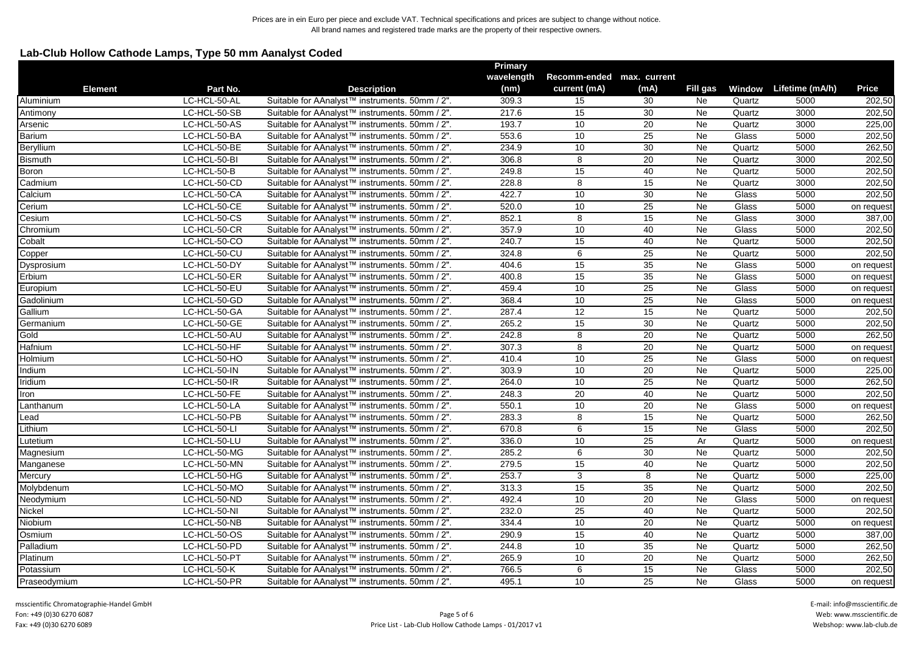# **Lab-Club Hollow Cathode Lamps, Type 50 mm Aanalyst Coded**

|                |              |                                                            | <b>Primary</b> |                           |                 |                 |        |                        |              |
|----------------|--------------|------------------------------------------------------------|----------------|---------------------------|-----------------|-----------------|--------|------------------------|--------------|
| <b>Element</b> |              |                                                            | wavelength     | Recomm-ended max. current |                 |                 |        |                        |              |
|                | Part No.     | <b>Description</b>                                         | (nm)           | current (mA)              | (mA)            | Fill gas        |        | Window Lifetime (mA/h) | <b>Price</b> |
| Aluminium      | LC-HCL-50-AL | Suitable for AAnalyst™ instruments. 50mm / 2".             | 309.3          | 15                        | 30              | Ne              | Quartz | 5000                   | 202,50       |
| Antimony       | LC-HCL-50-SB | Suitable for AAnalyst <sup>™</sup> instruments. 50mm / 2". | 217.6          | 15                        | 30              | Ne              | Quartz | 3000                   | 202,50       |
| Arsenic        | LC-HCL-50-AS | Suitable for AAnalyst <sup>™</sup> instruments. 50mm / 2". | 193.7          | 10                        | 20              | Ne              | Quartz | 3000                   | 225,00       |
| <b>Barium</b>  | LC-HCL-50-BA | Suitable for AAnalyst™ instruments. 50mm / 2".             | 553.6          | 10                        | 25              | Ne              | Glass  | 5000                   | 202,50       |
| Beryllium      | LC-HCL-50-BE | Suitable for AAnalyst <sup>™</sup> instruments. 50mm / 2". | 234.9          | 10                        | $\overline{30}$ | $\overline{Ne}$ | Quartz | 5000                   | 262,50       |
| <b>Bismuth</b> | LC-HCL-50-BI | Suitable for AAnalyst <sup>™</sup> instruments. 50mm / 2". | 306.8          | 8                         | 20              | Ne              | Quartz | 3000                   | 202,50       |
| Boron          | LC-HCL-50-B  | Suitable for AAnalyst™ instruments. 50mm / 2".             | 249.8          | 15                        | 40              | Ne              | Quartz | 5000                   | 202,50       |
| Cadmium        | LC-HCL-50-CD | Suitable for AAnalyst™ instruments. 50mm / 2".             | 228.8          | 8                         | 15              | Ne              | Quartz | 3000                   | 202,50       |
| Calcium        | LC-HCL-50-CA | Suitable for AAnalyst™ instruments. 50mm / 2".             | 422.7          | 10                        | 30              | Ne              | Glass  | 5000                   | 202,50       |
| Cerium         | LC-HCL-50-CE | Suitable for AAnalyst™ instruments. 50mm / 2".             | 520.0          | 10                        | 25              | $\overline{Ne}$ | Glass  | 5000                   | on request   |
| Cesium         | LC-HCL-50-CS | Suitable for AAnalyst <sup>™</sup> instruments. 50mm / 2". | 852.1          | 8                         | 15              | Ne              | Glass  | 3000                   | 387,00       |
| Chromium       | LC-HCL-50-CR | Suitable for AAnalyst™ instruments. 50mm / 2".             | 357.9          | 10                        | 40              | Ne              | Glass  | 5000                   | 202,50       |
| Cobalt         | LC-HCL-50-CO | Suitable for AAnalyst™ instruments. 50mm / 2".             | 240.7          | 15                        | 40              | Ne              | Quartz | 5000                   | 202,50       |
| Copper         | LC-HCL-50-CU | Suitable for AAnalyst™ instruments. 50mm / 2".             | 324.8          | 6                         | $\overline{25}$ | Ne              | Quartz | 5000                   | 202,50       |
| Dysprosium     | LC-HCL-50-DY | Suitable for AAnalyst™ instruments. 50mm / 2".             | 404.6          | 15                        | 35              | Ne              | Glass  | 5000                   | on request   |
| Erbium         | LC-HCL-50-ER | Suitable for AAnalyst™ instruments. 50mm / 2".             | 400.8          | 15                        | $\overline{35}$ | Ne              | Glass  | 5000                   | on request   |
| Europium       | LC-HCL-50-EU | Suitable for AAnalyst™ instruments. 50mm / 2".             | 459.4          | 10                        | 25              | Ne              | Glass  | 5000                   | on request   |
| Gadolinium     | LC-HCL-50-GD | Suitable for AAnalyst™ instruments. 50mm / 2".             | 368.4          | 10                        | $\overline{25}$ | Ne              | Glass  | 5000                   | on request   |
| Gallium        | LC-HCL-50-GA | Suitable for AAnalyst™ instruments. 50mm / 2".             | 287.4          | 12                        | 15              | <b>Ne</b>       | Quartz | 5000                   | 202,50       |
| Germanium      | LC-HCL-50-GE | Suitable for AAnalyst™ instruments. 50mm / 2".             | 265.2          | 15                        | 30              | Ne              | Quartz | 5000                   | 202,50       |
| Gold           | LC-HCL-50-AU | Suitable for AAnalyst™ instruments. 50mm / 2".             | 242.8          | 8                         | 20              | Ne              | Quartz | 5000                   | 262,50       |
| Hafnium        | LC-HCL-50-HF | Suitable for AAnalyst™ instruments. 50mm / 2".             | 307.3          | $\overline{8}$            | 20              | <b>Ne</b>       | Quartz | 5000                   | on request   |
| Holmium        | LC-HCL-50-HO | Suitable for AAnalyst™ instruments. 50mm / 2".             | 410.4          | 10                        | 25              | $\overline{Ne}$ | Glass  | 5000                   | on request   |
| Indium         | LC-HCL-50-IN | Suitable for AAnalyst™ instruments. 50mm / 2".             | 303.9          | 10                        | 20              | $\overline{Ne}$ | Quartz | 5000                   | 225,00       |
| Iridium        | LC-HCL-50-IR | Suitable for AAnalyst <sup>™</sup> instruments. 50mm / 2". | 264.0          | 10                        | 25              | Ne              | Quartz | 5000                   | 262,50       |
| Iron           | LC-HCL-50-FE | Suitable for AAnalyst <sup>™</sup> instruments. 50mm / 2". | 248.3          | 20                        | 40              | Ne              | Quartz | 5000                   | 202,50       |
| Lanthanum      | LC-HCL-50-LA | Suitable for AAnalyst™ instruments. 50mm / 2".             | 550.1          | 10                        | 20              | Ne              | Glass  | 5000                   | on request   |
| Lead           | LC-HCL-50-PB | Suitable for AAnalyst™ instruments. 50mm / 2".             | 283.3          | $\overline{8}$            | 15              | <b>Ne</b>       | Quartz | 5000                   | 262,50       |
| Lithium        | LC-HCL-50-LI | Suitable for AAnalyst™ instruments. 50mm / 2".             | 670.8          | 6                         | 15              | Ne              | Glass  | 5000                   | 202,50       |
| Lutetium       | LC-HCL-50-LU | Suitable for AAnalyst™ instruments. 50mm / 2".             | 336.0          | 10                        | 25              | Ar              | Quartz | 5000                   | on request   |
| Magnesium      | LC-HCL-50-MG | Suitable for AAnalyst™ instruments. 50mm / 2".             | 285.2          | 6                         | 30              | <b>Ne</b>       | Quartz | 5000                   | 202,50       |
| Manganese      | LC-HCL-50-MN | Suitable for AAnalyst™ instruments. 50mm / 2".             | 279.5          | 15                        | 40              | $\overline{Ne}$ | Quartz | 5000                   | 202,50       |
| Mercury        | LC-HCL-50-HG | Suitable for AAnalyst™ instruments. 50mm / 2".             | 253.7          | 3                         | 8               | $\overline{Ne}$ | Quartz | 5000                   | 225,00       |
| Molybdenum     | LC-HCL-50-MO | Suitable for AAnalyst™ instruments. 50mm / 2".             | 313.3          | 15                        | 35              | Ne              | Quartz | 5000                   | 202,50       |
| Neodymium      | LC-HCL-50-ND | Suitable for AAnalyst <sup>™</sup> instruments. 50mm / 2". | 492.4          | 10                        | $\overline{20}$ | $\overline{Ne}$ | Glass  | 5000                   | on request   |
| Nickel         | LC-HCL-50-NI | Suitable for AAnalyst <sup>™</sup> instruments. 50mm / 2". | 232.0          | 25                        | 40              | Ne              | Quartz | 5000                   | 202,50       |
| Niobium        | LC-HCL-50-NB | Suitable for AAnalyst™ instruments. 50mm / 2".             | 334.4          | 10                        | 20              | Ne              | Quartz | 5000                   | on request   |
| Osmium         | LC-HCL-50-OS | Suitable for AAnalyst <sup>™</sup> instruments. 50mm / 2". | 290.9          | 15                        | 40              | Ne              | Quartz | 5000                   | 387,00       |
| Palladium      | LC-HCL-50-PD | Suitable for AAnalyst™ instruments. 50mm / 2".             | 244.8          | 10                        | 35              | Ne              | Quartz | 5000                   | 262,50       |
| Platinum       | LC-HCL-50-PT | Suitable for AAnalyst™ instruments. 50mm / 2".             | 265.9          | 10                        | 20              | Ne              | Quartz | 5000                   | 262,50       |
| Potassium      | LC-HCL-50-K  | Suitable for AAnalyst™ instruments. 50mm / 2".             | 766.5          | 6                         | 15              | <b>Ne</b>       | Glass  | 5000                   | 202,50       |
| Praseodymium   | LC-HCL-50-PR | Suitable for AAnalyst™ instruments. 50mm / 2".             | 495.1          | 10                        | $\overline{25}$ | <b>Ne</b>       | Glass  | 5000                   | on request   |